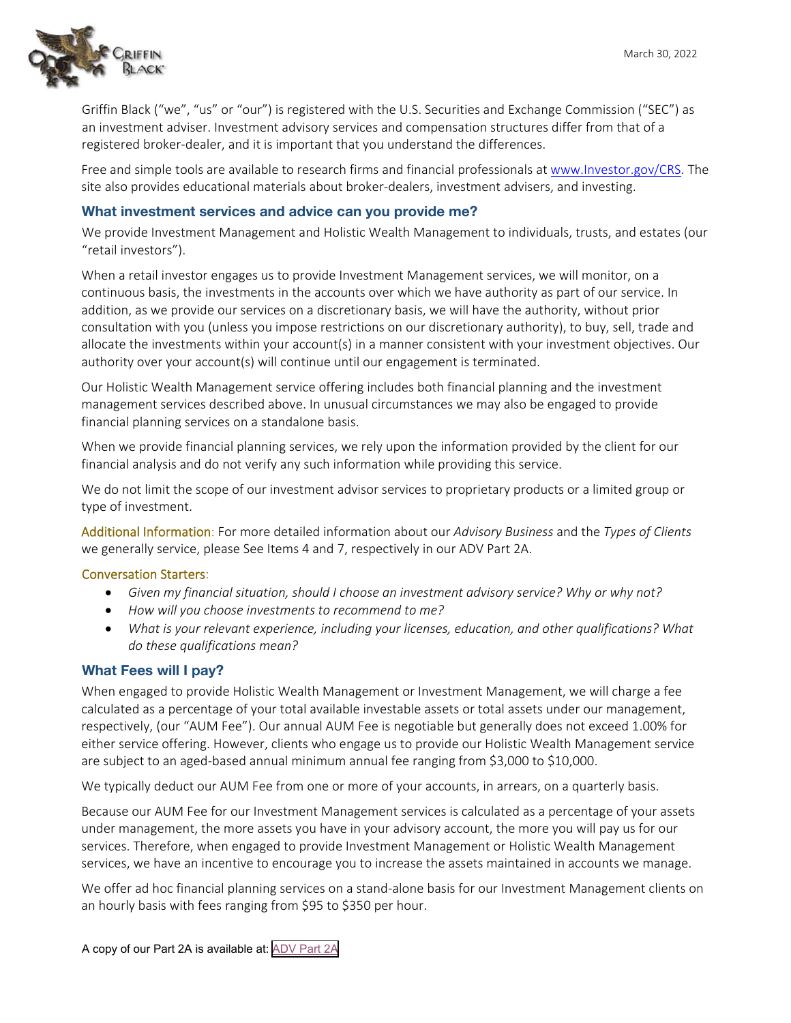

Griffin Black ("we", "us" or "our") is registered with the U.S. Securities and Exchange Commission ("SEC") as an investment adviser. Investment advisory services and compensation structures differ from that of a registered broker‐dealer, and it is important that you understand the differences.

Free and simple tools are available to research firms and financial professionals at www.Investor.gov/CRS. The site also provides educational materials about broker‐dealers, investment advisers, and investing.

## **What investment services and advice can you provide me?**

We provide Investment Management and Holistic Wealth Management to individuals, trusts, and estates (our "retail investors").

When a retail investor engages us to provide Investment Management services, we will monitor, on a continuous basis, the investments in the accounts over which we have authority as part of our service. In addition, as we provide our services on a discretionary basis, we will have the authority, without prior consultation with you (unless you impose restrictions on our discretionary authority), to buy, sell, trade and allocate the investments within your account(s) in a manner consistent with your investment objectives. Our authority over your account(s) will continue until our engagement is terminated.

Our Holistic Wealth Management service offering includes both financial planning and the investment management services described above. In unusual circumstances we may also be engaged to provide financial planning services on a standalone basis.

When we provide financial planning services, we rely upon the information provided by the client for our financial analysis and do not verify any such information while providing this service.

We do not limit the scope of our investment advisor services to proprietary products or a limited group or type of investment.

Additional Information: For more detailed information about our *Advisory Business* and the *Types of Clients* we generally service, please See Items 4 and 7, respectively in our ADV Part 2A.

#### Conversation Starters:

- *Given my financial situation, should I choose an investment advisory service? Why or why not?*
- *How will you choose investments to recommend to me?*
- *What is your relevant experience, including your licenses, education, and other qualifications? What do these qualifications mean?*

## **What Fees will I pay?**

When engaged to provide Holistic Wealth Management or Investment Management, we will charge a fee calculated as a percentage of your total available investable assets or total assets under our management, respectively, (our "AUM Fee"). Our annual AUM Fee is negotiable but generally does not exceed 1.00% for either service offering. However, clients who engage us to provide our Holistic Wealth Management service are subject to an aged‐based annual minimum annual fee ranging from \$3,000 to \$10,000.

We typically deduct our AUM Fee from one or more of your accounts, in arrears, on a quarterly basis.

Because our AUM Fee for our Investment Management services is calculated as a percentage of your assets under management, the more assets you have in your advisory account, the more you will pay us for our services. Therefore, when engaged to provide Investment Management or Holistic Wealth Management services, we have an incentive to encourage you to increase the assets maintained in accounts we manage.

We offer ad hoc financial planning services on a stand-alone basis for our Investment Management clients on an hourly basis with fees ranging from \$95 to \$350 per hour.